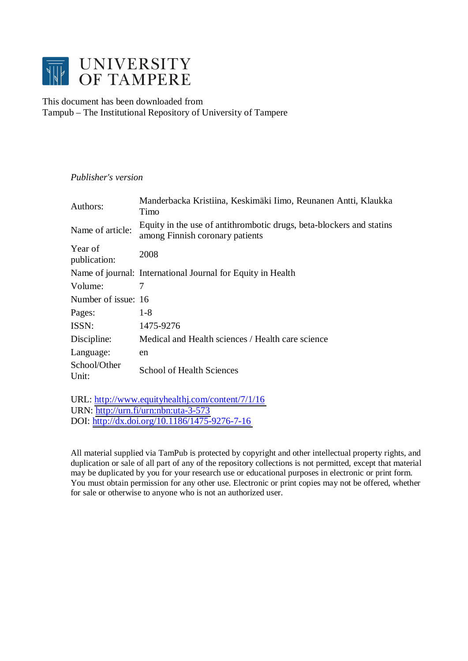

# This document has been downloaded from Tampub – The Institutional Repository of University of Tampere

## *Publisher's version*

| Authors:                | Manderbacka Kristiina, Keskimäki Iimo, Reunanen Antti, Klaukka<br>Timo                                  |
|-------------------------|---------------------------------------------------------------------------------------------------------|
| Name of article:        | Equity in the use of antithrombotic drugs, beta-blockers and stating<br>among Finnish coronary patients |
| Year of<br>publication: | 2008                                                                                                    |
|                         | Name of journal: International Journal for Equity in Health                                             |
| Volume:                 | 7                                                                                                       |
| Number of issue: 16     |                                                                                                         |
| Pages:                  | $1-8$                                                                                                   |
| ISSN:                   | 1475-9276                                                                                               |
| Discipline:             | Medical and Health sciences / Health care science                                                       |
| Language:               | en                                                                                                      |
| School/Other<br>Unit:   | <b>School of Health Sciences</b>                                                                        |
|                         |                                                                                                         |

URL: <http://www.equityhealthj.com/content/7/1/16> URN: http://urn.fi/urn.nbn:uta-3-573 DOI: <http://dx.doi.org/10.1186/1475-9276-7-16>

All material supplied via TamPub is protected by copyright and other intellectual property rights, and duplication or sale of all part of any of the repository collections is not permitted, except that material may be duplicated by you for your research use or educational purposes in electronic or print form. You must obtain permission for any other use. Electronic or print copies may not be offered, whether for sale or otherwise to anyone who is not an authorized user.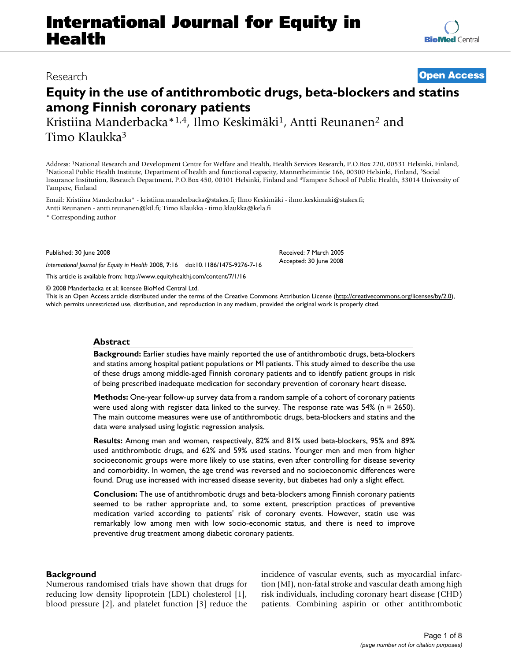# **International Journal for Equity in Health**

## Research **[Open Access](http://www.biomedcentral.com/info/about/charter/)**

# **Equity in the use of antithrombotic drugs, beta-blockers and statins among Finnish coronary patients**

Kristiina Manderbacka\*1,4, Ilmo Keskimäki1, Antti Reunanen2 and Timo Klaukka3

Address: <sup>1</sup>National Research and Development Centre for Welfare and Health, Health Services Research, P.O.Box 220, 00531 Helsinki, Finland, <sup>2</sup>National Public Health Institute, Department of health and functional capacity Insurance Institution, Research Department, P.O.Box 450, 00101 Helsinki, Finland and 4Tampere School of Public Health, 33014 University of Tampere, Finland

Email: Kristiina Manderbacka\* - kristiina.manderbacka@stakes.fi; Ilmo Keskimäki - ilmo.keskimaki@stakes.fi; Antti Reunanen - antti.reunanen@ktl.fi; Timo Klaukka - timo.klaukka@kela.fi

\* Corresponding author

Published: 30 June 2008

*International Journal for Equity in Health* 2008, **7**:16 doi:10.1186/1475-9276-7-16

[This article is available from: http://www.equityhealthj.com/content/7/1/16](http://www.equityhealthj.com/content/7/1/16)

© 2008 Manderbacka et al; licensee BioMed Central Ltd.

This is an Open Access article distributed under the terms of the Creative Commons Attribution License [\(http://creativecommons.org/licenses/by/2.0\)](http://creativecommons.org/licenses/by/2.0), which permits unrestricted use, distribution, and reproduction in any medium, provided the original work is properly cited.

## **Abstract**

**Background:** Earlier studies have mainly reported the use of antithrombotic drugs, beta-blockers and statins among hospital patient populations or MI patients. This study aimed to describe the use of these drugs among middle-aged Finnish coronary patients and to identify patient groups in risk of being prescribed inadequate medication for secondary prevention of coronary heart disease.

**Methods:** One-year follow-up survey data from a random sample of a cohort of coronary patients were used along with register data linked to the survey. The response rate was  $54\%$  (n = 2650). The main outcome measures were use of antithrombotic drugs, beta-blockers and statins and the data were analysed using logistic regression analysis.

**Results:** Among men and women, respectively, 82% and 81% used beta-blockers, 95% and 89% used antithrombotic drugs, and 62% and 59% used statins. Younger men and men from higher socioeconomic groups were more likely to use statins, even after controlling for disease severity and comorbidity. In women, the age trend was reversed and no socioeconomic differences were found. Drug use increased with increased disease severity, but diabetes had only a slight effect.

**Conclusion:** The use of antithrombotic drugs and beta-blockers among Finnish coronary patients seemed to be rather appropriate and, to some extent, prescription practices of preventive medication varied according to patients' risk of coronary events. However, statin use was remarkably low among men with low socio-economic status, and there is need to improve preventive drug treatment among diabetic coronary patients.

## **Background**

Numerous randomised trials have shown that drugs for reducing low density lipoprotein (LDL) cholesterol [1], blood pressure [2], and platelet function [3] reduce the incidence of vascular events, such as myocardial infarction (MI), non-fatal stroke and vascular death among high risk individuals, including coronary heart disease (CHD) patients. Combining aspirin or other antithrombotic

Received: 7 March 2005 Accepted: 30 June 2008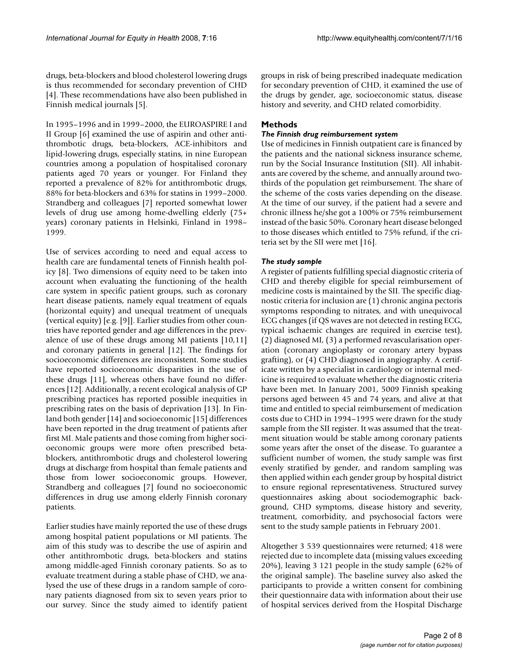drugs, beta-blockers and blood cholesterol lowering drugs is thus recommended for secondary prevention of CHD [4]. These recommendations have also been published in Finnish medical journals [5].

In 1995–1996 and in 1999–2000, the EUROASPIRE I and II Group [6] examined the use of aspirin and other antithrombotic drugs, beta-blockers, ACE-inhibitors and lipid-lowering drugs, especially statins, in nine European countries among a population of hospitalised coronary patients aged 70 years or younger. For Finland they reported a prevalence of 82% for antithrombotic drugs, 88% for beta-blockers and 63% for statins in 1999–2000. Strandberg and colleagues [7] reported somewhat lower levels of drug use among home-dwelling elderly (75+ years) coronary patients in Helsinki, Finland in 1998– 1999.

Use of services according to need and equal access to health care are fundamental tenets of Finnish health policy [8]. Two dimensions of equity need to be taken into account when evaluating the functioning of the health care system in specific patient groups, such as coronary heart disease patients, namely equal treatment of equals (horizontal equity) and unequal treatment of unequals (vertical equity) [e.g. [9]]. Earlier studies from other countries have reported gender and age differences in the prevalence of use of these drugs among MI patients [10,11] and coronary patients in general [12]. The findings for socioeconomic differences are inconsistent. Some studies have reported socioeconomic disparities in the use of these drugs [11], whereas others have found no differences [12]. Additionally, a recent ecological analysis of GP prescribing practices has reported possible inequities in prescribing rates on the basis of deprivation [13]. In Finland both gender [14] and socioeconomic [15] differences have been reported in the drug treatment of patients after first MI. Male patients and those coming from higher socioeconomic groups were more often prescribed betablockers, antithrombotic drugs and cholesterol lowering drugs at discharge from hospital than female patients and those from lower socioeconomic groups. However, Strandberg and colleagues [7] found no socioeconomic differences in drug use among elderly Finnish coronary patients.

Earlier studies have mainly reported the use of these drugs among hospital patient populations or MI patients. The aim of this study was to describe the use of aspirin and other antithrombotic drugs, beta-blockers and statins among middle-aged Finnish coronary patients. So as to evaluate treatment during a stable phase of CHD, we analysed the use of these drugs in a random sample of coronary patients diagnosed from six to seven years prior to our survey. Since the study aimed to identify patient groups in risk of being prescribed inadequate medication for secondary prevention of CHD, it examined the use of the drugs by gender, age, socioeconomic status, disease history and severity, and CHD related comorbidity.

## **Methods**

## *The Finnish drug reimbursement system*

Use of medicines in Finnish outpatient care is financed by the patients and the national sickness insurance scheme, run by the Social Insurance Institution (SII). All inhabitants are covered by the scheme, and annually around twothirds of the population get reimbursement. The share of the scheme of the costs varies depending on the disease. At the time of our survey, if the patient had a severe and chronic illness he/she got a 100% or 75% reimbursement instead of the basic 50%. Coronary heart disease belonged to those diseases which entitled to 75% refund, if the criteria set by the SII were met [16].

## *The study sample*

A register of patients fulfilling special diagnostic criteria of CHD and thereby eligible for special reimbursement of medicine costs is maintained by the SII. The specific diagnostic criteria for inclusion are (1) chronic angina pectoris symptoms responding to nitrates, and with unequivocal ECG changes (if QS waves are not detected in resting ECG, typical ischaemic changes are required in exercise test), (2) diagnosed MI, (3) a performed revascularisation operation (coronary angioplasty or coronary artery bypass grafting), or (4) CHD diagnosed in angiography. A certificate written by a specialist in cardiology or internal medicine is required to evaluate whether the diagnostic criteria have been met. In January 2001, 5009 Finnish speaking persons aged between 45 and 74 years, and alive at that time and entitled to special reimbursement of medication costs due to CHD in 1994–1995 were drawn for the study sample from the SII register. It was assumed that the treatment situation would be stable among coronary patients some years after the onset of the disease. To guarantee a sufficient number of women, the study sample was first evenly stratified by gender, and random sampling was then applied within each gender group by hospital district to ensure regional representativeness. Structured survey questionnaires asking about sociodemographic background, CHD symptoms, disease history and severity, treatment, comorbidity, and psychosocial factors were sent to the study sample patients in February 2001.

Altogether 3 539 questionnaires were returned; 418 were rejected due to incomplete data (missing values exceeding 20%), leaving 3 121 people in the study sample (62% of the original sample). The baseline survey also asked the participants to provide a written consent for combining their questionnaire data with information about their use of hospital services derived from the Hospital Discharge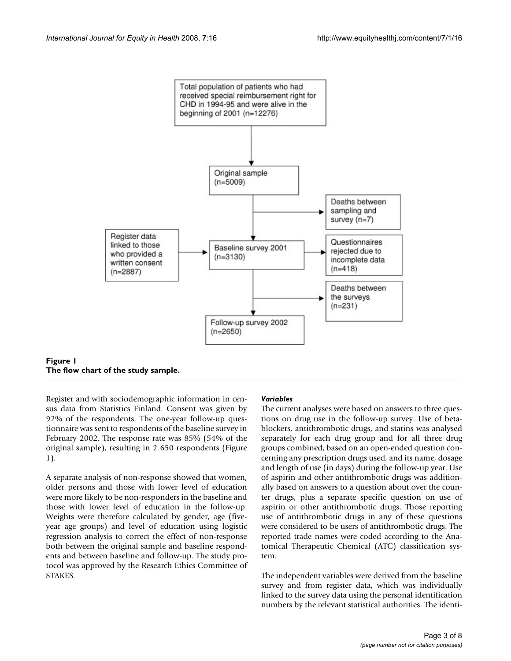

**Figure 1 The flow chart of the study sample.**

Register and with sociodemographic information in census data from Statistics Finland. Consent was given by 92% of the respondents. The one-year follow-up questionnaire was sent to respondents of the baseline survey in February 2002. The response rate was 85% (54% of the original sample), resulting in 2 650 respondents (Figure 1).

A separate analysis of non-response showed that women, older persons and those with lower level of education were more likely to be non-responders in the baseline and those with lower level of education in the follow-up. Weights were therefore calculated by gender, age (fiveyear age groups) and level of education using logistic regression analysis to correct the effect of non-response both between the original sample and baseline respondents and between baseline and follow-up. The study protocol was approved by the Research Ethics Committee of STAKES.

## *Variables*

The current analyses were based on answers to three questions on drug use in the follow-up survey. Use of betablockers, antithrombotic drugs, and statins was analysed separately for each drug group and for all three drug groups combined, based on an open-ended question concerning any prescription drugs used, and its name, dosage and length of use (in days) during the follow-up year. Use of aspirin and other antithrombotic drugs was additionally based on answers to a question about over the counter drugs, plus a separate specific question on use of aspirin or other antithrombotic drugs. Those reporting use of antithrombotic drugs in any of these questions were considered to be users of antithrombotic drugs. The reported trade names were coded according to the Anatomical Therapeutic Chemical (ATC) classification system.

The independent variables were derived from the baseline survey and from register data, which was individually linked to the survey data using the personal identification numbers by the relevant statistical authorities. The identi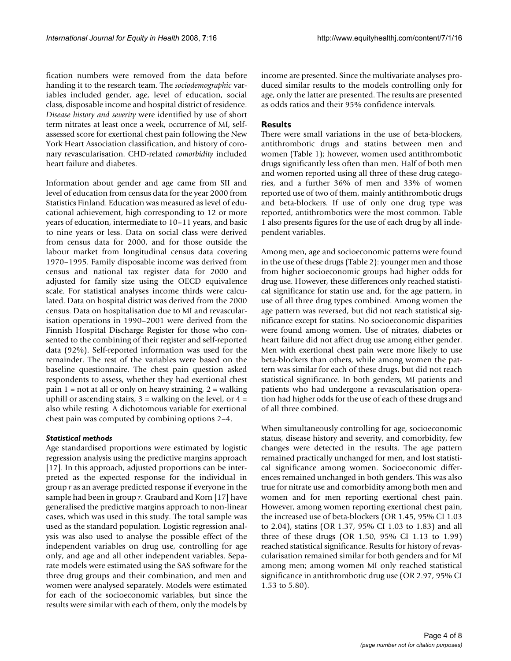fication numbers were removed from the data before handing it to the research team. The *sociodemographic* variables included gender, age, level of education, social class, disposable income and hospital district of residence. *Disease history and severity* were identified by use of short term nitrates at least once a week, occurrence of MI, selfassessed score for exertional chest pain following the New York Heart Association classification, and history of coronary revascularisation. CHD-related *comorbidity* included heart failure and diabetes.

Information about gender and age came from SII and level of education from census data for the year 2000 from Statistics Finland. Education was measured as level of educational achievement, high corresponding to 12 or more years of education, intermediate to 10–11 years, and basic to nine years or less. Data on social class were derived from census data for 2000, and for those outside the labour market from longitudinal census data covering 1970–1995. Family disposable income was derived from census and national tax register data for 2000 and adjusted for family size using the OECD equivalence scale. For statistical analyses income thirds were calculated. Data on hospital district was derived from the 2000 census. Data on hospitalisation due to MI and revascularisation operations in 1990–2001 were derived from the Finnish Hospital Discharge Register for those who consented to the combining of their register and self-reported data (92%). Self-reported information was used for the remainder. The rest of the variables were based on the baseline questionnaire. The chest pain question asked respondents to assess, whether they had exertional chest pain  $1 = not$  at all or only on heavy straining,  $2 = walking$ uphill or ascending stairs,  $3$  = walking on the level, or  $4$  = also while resting. A dichotomous variable for exertional chest pain was computed by combining options 2–4.

## *Statistical methods*

Age standardised proportions were estimated by logistic regression analysis using the predictive margins approach [17]. In this approach, adjusted proportions can be interpreted as the expected response for the individual in group *r* as an average predicted response if everyone in the sample had been in group *r*. Graubard and Korn [17] have generalised the predictive margins approach to non-linear cases, which was used in this study. The total sample was used as the standard population. Logistic regression analysis was also used to analyse the possible effect of the independent variables on drug use, controlling for age only, and age and all other independent variables. Separate models were estimated using the SAS software for the three drug groups and their combination, and men and women were analysed separately. Models were estimated for each of the socioeconomic variables, but since the results were similar with each of them, only the models by income are presented. Since the multivariate analyses produced similar results to the models controlling only for age, only the latter are presented. The results are presented as odds ratios and their 95% confidence intervals.

## **Results**

There were small variations in the use of beta-blockers, antithrombotic drugs and statins between men and women (Table 1); however, women used antithrombotic drugs significantly less often than men. Half of both men and women reported using all three of these drug categories, and a further 36% of men and 33% of women reported use of two of them, mainly antithrombotic drugs and beta-blockers. If use of only one drug type was reported, antithrombotics were the most common. Table 1 also presents figures for the use of each drug by all independent variables.

Among men, age and socioeconomic patterns were found in the use of these drugs (Table 2): younger men and those from higher socioeconomic groups had higher odds for drug use. However, these differences only reached statistical significance for statin use and, for the age pattern, in use of all three drug types combined. Among women the age pattern was reversed, but did not reach statistical significance except for statins. No socioeconomic disparities were found among women. Use of nitrates, diabetes or heart failure did not affect drug use among either gender. Men with exertional chest pain were more likely to use beta-blockers than others, while among women the pattern was similar for each of these drugs, but did not reach statistical significance. In both genders, MI patients and patients who had undergone a revascularisation operation had higher odds for the use of each of these drugs and of all three combined.

When simultaneously controlling for age, socioeconomic status, disease history and severity, and comorbidity, few changes were detected in the results. The age pattern remained practically unchanged for men, and lost statistical significance among women. Socioeconomic differences remained unchanged in both genders. This was also true for nitrate use and comorbidity among both men and women and for men reporting exertional chest pain. However, among women reporting exertional chest pain, the increased use of beta-blockers (OR 1.45, 95% CI 1.03 to 2.04), statins (OR 1.37, 95% CI 1.03 to 1.83) and all three of these drugs (OR 1.50, 95% CI 1.13 to 1.99) reached statistical significance. Results for history of revascularisation remained similar for both genders and for MI among men; among women MI only reached statistical significance in antithrombotic drug use (OR 2.97, 95% CI 1.53 to 5.80).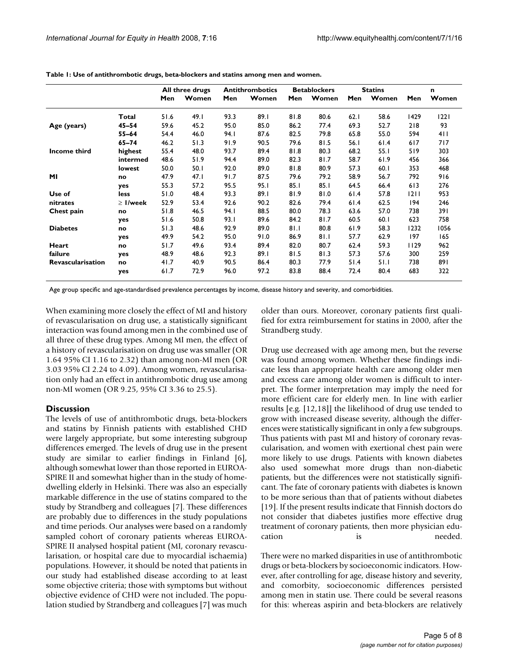|                          |               | All three drugs |       | <b>Antithrombotics</b> |       | <b>Betablockers</b> |       | <b>Statins</b> |       | $\mathbf n$ |       |
|--------------------------|---------------|-----------------|-------|------------------------|-------|---------------------|-------|----------------|-------|-------------|-------|
|                          |               | Men             | Women | Men                    | Women | Men                 | Women | <b>Men</b>     | Women | Men         | Women |
|                          | Total         | 51.6            | 49.1  | 93.3                   | 89.1  | 81.8                | 80.6  | 62.1           | 58.6  | 1429        | 1221  |
| Age (years)              | $45 - 54$     | 59.6            | 45.2  | 95.0                   | 85.0  | 86.2                | 77.4  | 69.3           | 52.7  | 218         | 93    |
|                          | $55 - 64$     | 54.4            | 46.0  | 94.I                   | 87.6  | 82.5                | 79.8  | 65.8           | 55.0  | 594         | 411   |
|                          | $65 - 74$     | 46.2            | 51.3  | 91.9                   | 90.5  | 79.6                | 81.5  | 56.I           | 61.4  | 617         | 717   |
| Income third             | highest       | 55.4            | 48.0  | 93.7                   | 89.4  | 81.8                | 80.3  | 68.2           | 55.1  | 519         | 303   |
|                          | intermed      | 48.6            | 51.9  | 94.4                   | 89.0  | 82.3                | 81.7  | 58.7           | 61.9  | 456         | 366   |
|                          | lowest        | 50.0            | 50.1  | 92.0                   | 89.0  | 81.8                | 80.9  | 57.3           | 60.1  | 353         | 468   |
| ΜI                       | no            | 47.9            | 47.1  | 91.7                   | 87.5  | 79.6                | 79.2  | 58.9           | 56.7  | 792         | 916   |
|                          | yes           | 55.3            | 57.2  | 95.5                   | 95.I  | 85.1                | 85.1  | 64.5           | 66.4  | 613         | 276   |
| Use of                   | less          | 51.0            | 48.4  | 93.3                   | 89.1  | 81.9                | 81.0  | 61.4           | 57.8  | 1211        | 953   |
| nitrates                 | $\geq$ l/week | 52.9            | 53.4  | 92.6                   | 90.2  | 82.6                | 79.4  | 61.4           | 62.5  | 194         | 246   |
| Chest pain               | no            | 51.8            | 46.5  | 94.1                   | 88.5  | 80.0                | 78.3  | 63.6           | 57.0  | 738         | 391   |
|                          | yes           | 51.6            | 50.8  | 93.1                   | 89.6  | 84.2                | 81.7  | 60.5           | 60.1  | 623         | 758   |
| <b>Diabetes</b>          | no            | 51.3            | 48.6  | 92.9                   | 89.0  | 81.1                | 80.8  | 61.9           | 58.3  | 1232        | 1056  |
|                          | yes           | 49.9            | 54.2  | 95.0                   | 91.0  | 86.9                | 81.1  | 57.7           | 62.9  | 197         | 165   |
| Heart                    | no            | 51.7            | 49.6  | 93.4                   | 89.4  | 82.0                | 80.7  | 62.4           | 59.3  | 1129        | 962   |
| failure                  | yes           | 48.9            | 48.6  | 92.3                   | 89.I  | 81.5                | 81.3  | 57.3           | 57.6  | 300         | 259   |
| <b>Revascularisation</b> | no            | 41.7            | 40.9  | 90.5                   | 86.4  | 80.3                | 77.9  | 51.4           | 51.I  | 738         | 891   |
|                          | yes           | 61.7            | 72.9  | 96.0                   | 97.2  | 83.8                | 88.4  | 72.4           | 80.4  | 683         | 322   |

**Table 1: Use of antithrombotic drugs, beta-blockers and statins among men and women.** 

Age group specific and age-standardised prevalence percentages by income, disease history and severity, and comorbidities.

When examining more closely the effect of MI and history of revascularisation on drug use, a statistically significant interaction was found among men in the combined use of all three of these drug types. Among MI men, the effect of a history of revascularisation on drug use was smaller (OR 1.64 95% CI 1.16 to 2.32) than among non-MI men (OR 3.03 95% CI 2.24 to 4.09). Among women, revascularisation only had an effect in antithrombotic drug use among non-MI women (OR 9.25, 95% CI 3.36 to 25.5).

## **Discussion**

The levels of use of antithrombotic drugs, beta-blockers and statins by Finnish patients with established CHD were largely appropriate, but some interesting subgroup differences emerged. The levels of drug use in the present study are similar to earlier findings in Finland [6], although somewhat lower than those reported in EUROA-SPIRE II and somewhat higher than in the study of homedwelling elderly in Helsinki. There was also an especially markable difference in the use of statins compared to the study by Strandberg and colleagues [7]. These differences are probably due to differences in the study populations and time periods. Our analyses were based on a randomly sampled cohort of coronary patients whereas EUROA-SPIRE II analysed hospital patient (MI, coronary revascularisation, or hospital care due to myocardial ischaemia) populations. However, it should be noted that patients in our study had established disease according to at least some objective criteria; those with symptoms but without objective evidence of CHD were not included. The population studied by Strandberg and colleagues [7] was much

older than ours. Moreover, coronary patients first qualified for extra reimbursement for statins in 2000, after the Strandberg study.

Drug use decreased with age among men, but the reverse was found among women. Whether these findings indicate less than appropriate health care among older men and excess care among older women is difficult to interpret. The former interpretation may imply the need for more efficient care for elderly men. In line with earlier results [e.g. [12,18]] the likelihood of drug use tended to grow with increased disease severity, although the differences were statistically significant in only a few subgroups. Thus patients with past MI and history of coronary revascularisation, and women with exertional chest pain were more likely to use drugs. Patients with known diabetes also used somewhat more drugs than non-diabetic patients, but the differences were not statistically significant. The fate of coronary patients with diabetes is known to be more serious than that of patients without diabetes [19]. If the present results indicate that Finnish doctors do not consider that diabetes justifies more effective drug treatment of coronary patients, then more physician education is needed.

There were no marked disparities in use of antithrombotic drugs or beta-blockers by socioeconomic indicators. However, after controlling for age, disease history and severity, and comorbity, socioeconomic differences persisted among men in statin use. There could be several reasons for this: whereas aspirin and beta-blockers are relatively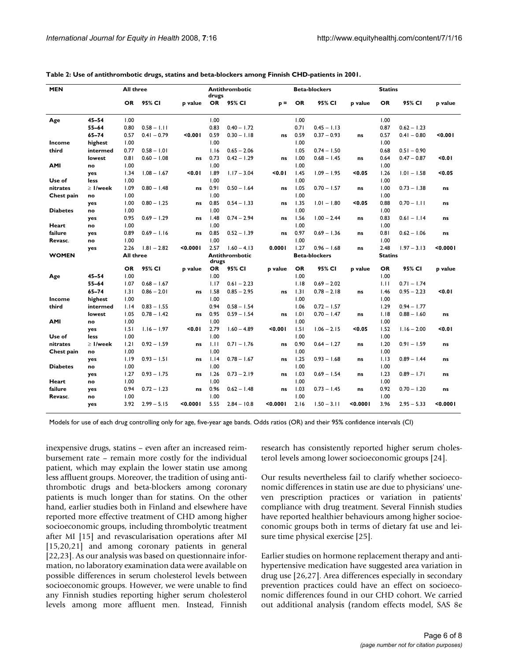| <b>MEN</b>      | All three     |           |               |          | <b>Antithrombotic</b><br>drugs |               | <b>Beta-blockers</b> |                      |               |         |                |               |         |
|-----------------|---------------|-----------|---------------|----------|--------------------------------|---------------|----------------------|----------------------|---------------|---------|----------------|---------------|---------|
|                 |               | OR.       | 95% CI        | p value  | <b>OR</b>                      | 95% CI        | $p =$                | <b>OR</b>            | 95% CI        | p value | <b>OR</b>      | 95% CI        | p value |
| Age             | $45 - 54$     | 1.00      |               |          | 1.00                           |               |                      | 1.00                 |               |         | 1.00           |               |         |
|                 | $55 - 64$     | 0.80      | $0.58 - 1.11$ |          | 0.83                           | $0.40 - 1.72$ |                      | 0.71                 | $0.45 - 1.13$ |         | 0.87           | $0.62 - 1.23$ |         |
|                 | $65 - 74$     | 0.57      | $0.41 - 0.79$ | 0.001    | 0.59                           | $0.30 - 1.18$ | ns                   | 0.59                 | $0.37 - 0.93$ | ns      | 0.57           | $0.41 - 0.80$ | <0.001  |
| Income          | highest       | 1.00      |               |          | 1.00                           |               |                      | 1.00                 |               |         | 1.00           |               |         |
| third           | intermed      | 0.77      | $0.58 - 1.01$ |          | 1.16                           | $0.65 - 2.06$ |                      | 1.05                 | $0.74 - 1.50$ |         | 0.68           | $0.51 - 0.90$ |         |
|                 | lowest        | 0.81      | $0.60 - 1.08$ | ns       | 0.73                           | $0.42 - 1.29$ | ns                   | 1.00                 | $0.68 - 1.45$ | ns      | 0.64           | $0.47 - 0.87$ | <0.01   |
| AMI             | no            | 1.00      |               |          | 1.00                           |               |                      | 1.00                 |               |         | 1.00           |               |         |
|                 | yes           | 1.34      | $1.08 - 1.67$ | 0.01     | 1.89                           | $1.17 - 3.04$ | 50.01                | 1.45                 | $1.09 - 1.95$ | < 0.05  | 1.26           | $1.01 - 1.58$ | $0.05$  |
| Use of          | less          | 1.00      |               |          | 1.00                           |               |                      | 1.00                 |               |         | 1.00           |               |         |
| nitrates        | $\geq$ l/week | 1.09      | $0.80 - 1.48$ | ns       | 0.91                           | $0.50 - 1.64$ | ns                   | 1.05                 | $0.70 - 1.57$ | ns      | 1.00           | $0.73 - 1.38$ | ns      |
| Chest pain      | no            | 1.00      |               |          | 1.00                           |               |                      | 1.00                 |               |         | 1.00           |               |         |
|                 | yes           | 1.00      | $0.80 - 1.25$ | ns       | 0.85                           | $0.54 - 1.33$ | ns                   | 1.35                 | $1.01 - 1.80$ | <0.05   | 0.88           | $0.70 - 1.11$ | ns      |
| <b>Diabetes</b> | no            | 1.00      |               |          | 1.00                           |               |                      | 1.00                 |               |         | 1.00           |               |         |
|                 | yes           | 0.95      | $0.69 - 1.29$ | ns       | 1.48                           | $0.74 - 2.94$ | ns                   | 1.56                 | $1.00 - 2.44$ | ns      | 0.83           | $0.61 - 1.14$ | ns      |
| Heart           | no            | 1.00      |               |          | 1.00                           |               |                      | 1.00                 |               |         | 1.00           |               |         |
| failure         | yes           | 0.89      | $0.69 - 1.16$ | ns       | 0.85                           | $0.52 - 1.39$ | ns                   | 0.97                 | $0.69 - 1.36$ | ns      | 0.81           | $0.62 - 1.06$ | ns      |
| Revasc.         | no            | 1.00      |               |          | 1.00                           |               |                      | 1.00                 |               |         | 1.00           |               |         |
|                 | yes           | 2.26      | $1.81 - 2.82$ | < 0.0001 | 2.57                           | $1.60 - 4.13$ | 0.0001               | 1.27                 | $0.96 - 1.68$ | ns      | 2.48           | $1.97 - 3.13$ | 0.0001  |
| <b>WOMEN</b>    |               | All three |               |          | <b>Antithrombotic</b><br>drugs |               |                      | <b>Beta-blockers</b> |               |         | <b>Statins</b> |               |         |
|                 |               | OR        | 95% CI        | p value  | OR                             | 95% CI        | p value              | OR<br>95% CI         |               | p value | OR<br>95% CI   |               | p value |
| Age             | $45 - 54$     | 1.00      |               |          | 1.00                           |               |                      | 1.00                 |               |         | 1.00           |               |         |
|                 | $55 - 64$     | 1.07      | $0.68 - 1.67$ |          | 1.17                           | $0.61 - 2.23$ |                      | 1.18                 | $0.69 - 2.02$ |         | 1.11           | $0.71 - 1.74$ |         |
|                 | $65 - 74$     | 1.31      | $0.86 - 2.01$ | ns       | 1.58                           | $0.85 - 2.95$ | ns                   | 1.31                 | $0.78 - 2.18$ | ns      | 1.46           | $0.95 - 2.23$ | <0.01   |
| <b>Income</b>   | highest       | 1.00      |               |          | 1.00                           |               |                      | 1.00                 |               |         | 1.00           |               |         |
| third           | intermed      | 1.14      | $0.83 - 1.55$ |          | 0.94                           | $0.58 - 1.54$ |                      | 1.06                 | $0.72 - 1.57$ |         | 1.29           | $0.94 - 1.77$ |         |
|                 | lowest        | 1.05      | $0.78 - 1.42$ | ns       | 0.95                           | $0.59 - 1.54$ | ns                   | 1.01                 | $0.70 - 1.47$ | ns      | 1.18           | $0.88 - 1.60$ | ns      |
| AMI             | no            | 1.00      |               |          | 1.00                           |               |                      | 1.00                 |               |         | 1.00           |               |         |
|                 | yes           | 1.51      | $1.16 - 1.97$ | <0.0⊺    | 2.79                           | $1.60 - 4.89$ | <0.001               | 1.51                 | $1.06 - 2.15$ | <0.05   | 1.52           | $1.16 - 2.00$ | <0.01   |
| Use of          | less          | 1.00      |               |          | 1.00                           |               |                      | 1.00                 |               |         | 1.00           |               |         |
| nitrates        | $\geq$ l/week | 1.21      | $0.92 - 1.59$ | ns       | 1.11                           | $0.71 - 1.76$ | ns                   | 0.90                 | $0.64 - 1.27$ | ns      | 1.20           | 0.91 – 1.59   | ns      |
| Chest pain      | no            | 1.00      |               |          | 1.00                           |               |                      | 1.00                 |               |         | 1.00           |               |         |
|                 | yes           | 1.19      | $0.93 - 1.51$ | ns       | 1.14                           | $0.78 - 1.67$ | ns                   | 1.25                 | $0.93 - 1.68$ | ns      | 1.13           | $0.89 - 1.44$ | ns      |
| <b>Diabetes</b> | no            | 1.00      |               |          | 1.00                           |               |                      | 1.00                 |               |         | 1.00           |               |         |
|                 | yes           | 1.27      | $0.93 - 1.75$ | ns       | 1.26                           | $0.73 - 2.19$ | ns                   | 1.03                 | $0.69 - 1.54$ | ns      | 1.23           | $0.89 - 1.71$ | ns      |
| Heart           | no            | 1.00      |               |          | 1.00                           |               |                      | 1.00                 |               |         | 1.00           |               |         |
| failure         | yes           | 0.94      | $0.72 - 1.23$ | ns       | 0.96                           | $0.62 - 1.48$ | ns                   | 1.03                 | $0.73 - 1.45$ | ns      | 0.92           | $0.70 - 1.20$ | ns      |
| Revasc.         | no            | 1.00      |               |          | 1.00                           |               |                      | 1.00                 |               |         | 1.00           |               |         |
|                 | yes           | 3.92      | $2.99 - 5.15$ | < 0.0001 | 5.55                           | $2.84 - 10.8$ | <0.0001              | 2.16                 | $1.50 - 3.11$ | 0.0001  | 3.96           | $2.95 - 5.33$ | <0.0001 |

**Table 2: Use of antithrombotic drugs, statins and beta-blockers among Finnish CHD-patients in 2001.**

Models for use of each drug controlling only for age, five-year age bands. Odds ratios (OR) and their 95% confidence intervals (CI)

inexpensive drugs, statins – even after an increased reimbursement rate – remain more costly for the individual patient, which may explain the lower statin use among less affluent groups. Moreover, the tradition of using antithrombotic drugs and beta-blockers among coronary patients is much longer than for statins. On the other hand, earlier studies both in Finland and elsewhere have reported more effective treatment of CHD among higher socioeconomic groups, including thrombolytic treatment after MI [15] and revascularisation operations after MI [15,20,21] and among coronary patients in general [22,23]. As our analysis was based on questionnaire information, no laboratory examination data were available on possible differences in serum cholesterol levels between socioeconomic groups. However, we were unable to find any Finnish studies reporting higher serum cholesterol levels among more affluent men. Instead, Finnish

research has consistently reported higher serum cholesterol levels among lower socioeconomic groups [24].

Our results nevertheless fail to clarify whether socioeconomic differences in statin use are due to physicians' uneven prescription practices or variation in patients' compliance with drug treatment. Several Finnish studies have reported healthier behaviours among higher socioeconomic groups both in terms of dietary fat use and leisure time physical exercise [25].

Earlier studies on hormone replacement therapy and antihypertensive medication have suggested area variation in drug use [26,27]. Area differences especially in secondary prevention practices could have an effect on socioeconomic differences found in our CHD cohort. We carried out additional analysis (random effects model, SAS 8e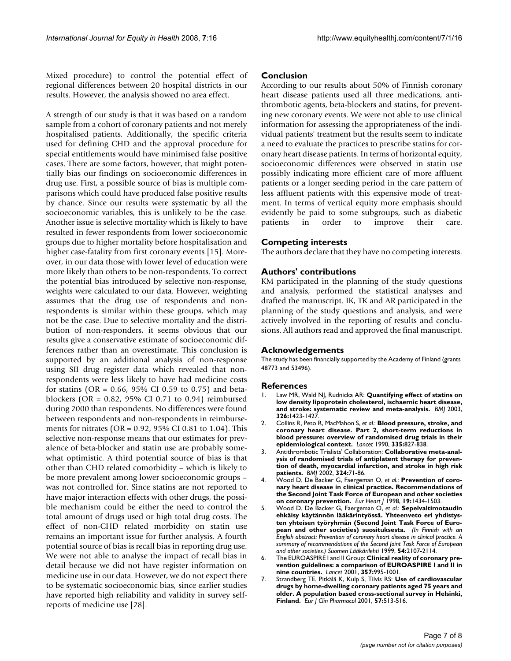Mixed procedure) to control the potential effect of regional differences between 20 hospital districts in our results. However, the analysis showed no area effect.

A strength of our study is that it was based on a random sample from a cohort of coronary patients and not merely hospitalised patients. Additionally, the specific criteria used for defining CHD and the approval procedure for special entitlements would have minimised false positive cases. There are some factors, however, that might potentially bias our findings on socioeconomic differences in drug use. First, a possible source of bias is multiple comparisons which could have produced false positive results by chance. Since our results were systematic by all the socioeconomic variables, this is unlikely to be the case. Another issue is selective mortality which is likely to have resulted in fewer respondents from lower socioeconomic groups due to higher mortality before hospitalisation and higher case-fatality from first coronary events [15]. Moreover, in our data those with lower level of education were more likely than others to be non-respondents. To correct the potential bias introduced by selective non-response, weights were calculated to our data. However, weighting assumes that the drug use of respondents and nonrespondents is similar within these groups, which may not be the case. Due to selective mortality and the distribution of non-responders, it seems obvious that our results give a conservative estimate of socioeconomic differences rather than an overestimate. This conclusion is supported by an additional analysis of non-response using SII drug register data which revealed that nonrespondents were less likely to have had medicine costs for statins (OR =  $0.66$ , 95% CI 0.59 to 0.75) and betablockers (OR = 0.82, 95% CI 0.71 to 0.94) reimbursed during 2000 than respondents. No differences were found between respondents and non-respondents in reimbursements for nitrates (OR = 0.92, 95% CI 0.81 to 1.04). This selective non-response means that our estimates for prevalence of beta-blocker and statin use are probably somewhat optimistic. A third potential source of bias is that other than CHD related comorbidity – which is likely to be more prevalent among lower socioeconomic groups – was not controlled for. Since statins are not reported to have major interaction effects with other drugs, the possible mechanism could be either the need to control the total amount of drugs used or high total drug costs. The effect of non-CHD related morbidity on statin use remains an important issue for further analysis. A fourth potential source of bias is recall bias in reporting drug use. We were not able to analyse the impact of recall bias in detail because we did not have register information on medicine use in our data. However, we do not expect there to be systematic socioeconomic bias, since earlier studies have reported high reliability and validity in survey selfreports of medicine use [28].

#### **Conclusion**

According to our results about 50% of Finnish coronary heart disease patients used all three medications, antithrombotic agents, beta-blockers and statins, for preventing new coronary events. We were not able to use clinical information for assessing the appropriateness of the individual patients' treatment but the results seem to indicate a need to evaluate the practices to prescribe statins for coronary heart disease patients. In terms of horizontal equity, socioeconomic differences were observed in statin use possibly indicating more efficient care of more affluent patients or a longer seeding period in the care pattern of less affluent patients with this expensive mode of treatment. In terms of vertical equity more emphasis should evidently be paid to some subgroups, such as diabetic patients in order to improve their care.

#### **Competing interests**

The authors declare that they have no competing interests.

#### **Authors' contributions**

KM participated in the planning of the study questions and analysis, performed the statistical analyses and drafted the manuscript. IK, TK and AR participated in the planning of the study questions and analysis, and were actively involved in the reporting of results and conclusions. All authors read and approved the final manuscript.

#### **Acknowledgements**

The study has been financially supported by the Academy of Finland (grants 48773 and 53496).

#### **References**

- 1. Law MR, Wald NJ, Rudnicka AR: **[Quantifying effect of statins on](http://www.ncbi.nlm.nih.gov/entrez/query.fcgi?cmd=Retrieve&db=PubMed&dopt=Abstract&list_uids=12829554) [low density lipoprotein cholesterol, ischaemic heart disease,](http://www.ncbi.nlm.nih.gov/entrez/query.fcgi?cmd=Retrieve&db=PubMed&dopt=Abstract&list_uids=12829554) [and stroke: systematic review and meta-analysis.](http://www.ncbi.nlm.nih.gov/entrez/query.fcgi?cmd=Retrieve&db=PubMed&dopt=Abstract&list_uids=12829554)** *BMJ* 2003, **326:**1423-1427.
- 2. Collins R, Peto R, MacMahon S, *et al.*: **[Blood pressure, stroke, and](http://www.ncbi.nlm.nih.gov/entrez/query.fcgi?cmd=Retrieve&db=PubMed&dopt=Abstract&list_uids=1969567) coronary heart disease. Part 2, short-term reductions in [blood pressure: overview of randomised drug trials in their](http://www.ncbi.nlm.nih.gov/entrez/query.fcgi?cmd=Retrieve&db=PubMed&dopt=Abstract&list_uids=1969567) [epidemiological context.](http://www.ncbi.nlm.nih.gov/entrez/query.fcgi?cmd=Retrieve&db=PubMed&dopt=Abstract&list_uids=1969567)** *Lancet* 1990, **335:**827-838.
- 3. Antithrombotic Trialists' Collaboration: **[Collaborative meta-anal](http://www.ncbi.nlm.nih.gov/entrez/query.fcgi?cmd=Retrieve&db=PubMed&dopt=Abstract&list_uids=11786451)[ysis of randomised trials of antiplatent therapy for preven](http://www.ncbi.nlm.nih.gov/entrez/query.fcgi?cmd=Retrieve&db=PubMed&dopt=Abstract&list_uids=11786451)tion of death, myocardial infarction, and stroke in high risk [patients.](http://www.ncbi.nlm.nih.gov/entrez/query.fcgi?cmd=Retrieve&db=PubMed&dopt=Abstract&list_uids=11786451)** *BMJ* 2002, **324:**71-86.
- 4. Wood D, De Backer G, Faergeman O, *et al.*: **[Prevention of coro](http://www.ncbi.nlm.nih.gov/entrez/query.fcgi?cmd=Retrieve&db=PubMed&dopt=Abstract&list_uids=9820987)[nary heart disease in clinical practice. Recommendations of](http://www.ncbi.nlm.nih.gov/entrez/query.fcgi?cmd=Retrieve&db=PubMed&dopt=Abstract&list_uids=9820987) the Second Joint Task Force of European and other societies [on coronary prevention.](http://www.ncbi.nlm.nih.gov/entrez/query.fcgi?cmd=Retrieve&db=PubMed&dopt=Abstract&list_uids=9820987)** *Eur Heart J* 1998, **19:**1434-1503.
- 5. Wood D, De Backer G, Faergeman O, *et al.*: **Sepelvaltimotaudin ehkäisy käytännön lääkärintyössä. Yhteenveto eri yhdistysten yhteisen työryhmän (Second Joint Task Force of European and other societies) suosituksesta.** *(In Finnish with an English abstract: Prevention of coronary heart disease in clinical practice. A summary of recommendations of the Second Joint Task Force of European and other societies.) Suomen Lääkärilehti* 1999, **54:**2107-2114.
- 6. The EUROASPIRE I and II Group: **[Clinical reality of coronary pre](http://www.ncbi.nlm.nih.gov/entrez/query.fcgi?cmd=Retrieve&db=PubMed&dopt=Abstract&list_uids=11293642)[vention guidelines: a comparison of EUROASPIRE I and II in](http://www.ncbi.nlm.nih.gov/entrez/query.fcgi?cmd=Retrieve&db=PubMed&dopt=Abstract&list_uids=11293642) [nine countries.](http://www.ncbi.nlm.nih.gov/entrez/query.fcgi?cmd=Retrieve&db=PubMed&dopt=Abstract&list_uids=11293642)** *Lancet* 2001, **357:**995-1001.
- 7. Strandberg TE, Pitkälä K, Kulp S, Tilvis RS: **[Use of cardiovascular](http://www.ncbi.nlm.nih.gov/entrez/query.fcgi?cmd=Retrieve&db=PubMed&dopt=Abstract&list_uids=11699618) drugs by home-dwelling coronary patients aged 75 years and [older. A population based cross-sectional survey in Helsinki,](http://www.ncbi.nlm.nih.gov/entrez/query.fcgi?cmd=Retrieve&db=PubMed&dopt=Abstract&list_uids=11699618) [Finland.](http://www.ncbi.nlm.nih.gov/entrez/query.fcgi?cmd=Retrieve&db=PubMed&dopt=Abstract&list_uids=11699618)** *Eur J Clin Pharmacol* 2001, **57:**513-516.